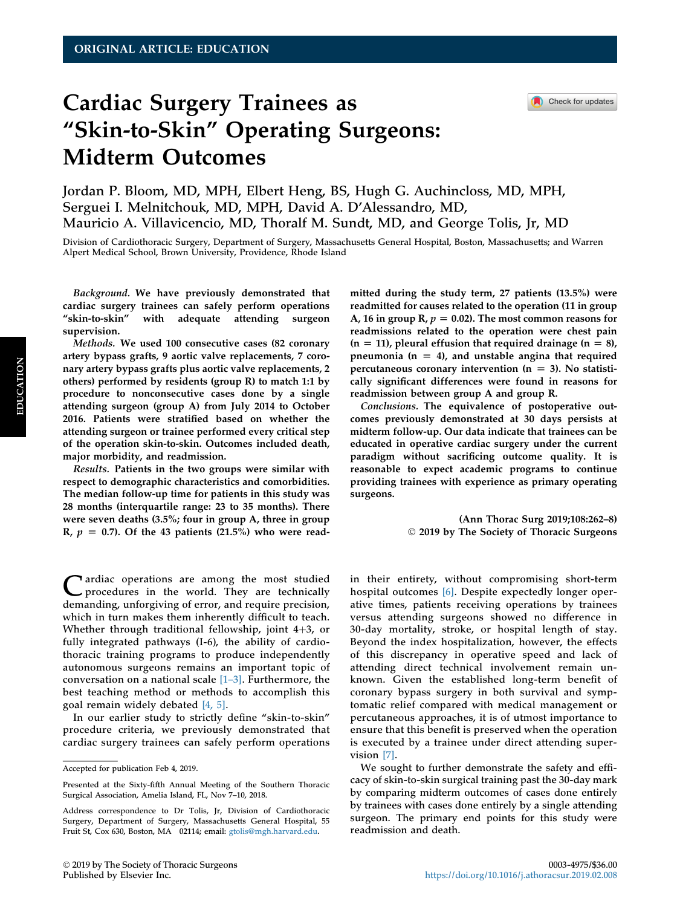Check for updates

# Cardiac Surgery Trainees as "Skin-to-Skin" Operating Surgeons: Midterm Outcomes

Jordan P. Bloom, MD, MPH, Elbert Heng, BS, Hugh G. Auchincloss, MD, MPH, Serguei I. Melnitchouk, MD, MPH, David A. D'Alessandro, MD, Mauricio A. Villavicencio, MD, Thoralf M. Sundt, MD, and George Tolis, Jr, MD

Division of Cardiothoracic Surgery, Department of Surgery, Massachusetts General Hospital, Boston, Massachusetts; and Warren Alpert Medical School, Brown University, Providence, Rhode Island

Background. We have previously demonstrated that cardiac surgery trainees can safely perform operations "skin-to-skin" with adequate attending surgeon supervision.

Methods. We used 100 consecutive cases (82 coronary artery bypass grafts, 9 aortic valve replacements, 7 coronary artery bypass grafts plus aortic valve replacements, 2 others) performed by residents (group R) to match 1:1 by procedure to nonconsecutive cases done by a single attending surgeon (group A) from July 2014 to October 2016. Patients were stratified based on whether the attending surgeon or trainee performed every critical step of the operation skin-to-skin. Outcomes included death, major morbidity, and readmission.

Results. Patients in the two groups were similar with respect to demographic characteristics and comorbidities. The median follow-up time for patients in this study was 28 months (interquartile range: 23 to 35 months). There were seven deaths (3.5%; four in group A, three in group R,  $p = 0.7$ ). Of the 43 patients (21.5%) who were read-

Cardiac operations are among the most studied<br>procedures in the world. They are technically<br>damagedian and provide manifestation demanding, unforgiving of error, and require precision, which in turn makes them inherently difficult to teach. Whether through traditional fellowship, joint  $4+3$ , or fully integrated pathways (I-6), the ability of cardiothoracic training programs to produce independently autonomous surgeons remains an important topic of conversation on a national scale  $[1-3]$  $[1-3]$  $[1-3]$ . Furthermore, the best teaching method or methods to accomplish this goal remain widely debated [\[4, 5\]](#page-5-0).

In our earlier study to strictly define "skin-to-skin" procedure criteria, we previously demonstrated that cardiac surgery trainees can safely perform operations mitted during the study term, 27 patients (13.5%) were readmitted for causes related to the operation (11 in group A, 16 in group R,  $p = 0.02$ ). The most common reasons for readmissions related to the operation were chest pain  $(n = 11)$ , pleural effusion that required drainage  $(n = 8)$ , pneumonia ( $n = 4$ ), and unstable angina that required percutaneous coronary intervention ( $n = 3$ ). No statistically significant differences were found in reasons for readmission between group A and group R.

Conclusions. The equivalence of postoperative outcomes previously demonstrated at 30 days persists at midterm follow-up. Our data indicate that trainees can be educated in operative cardiac surgery under the current paradigm without sacrificing outcome quality. It is reasonable to expect academic programs to continue providing trainees with experience as primary operating surgeons.

> (Ann Thorac Surg 2019;108:262–8) 2019 by The Society of Thoracic Surgeons

in their entirety, without compromising short-term hospital outcomes [\[6\].](#page-5-0) Despite expectedly longer operative times, patients receiving operations by trainees versus attending surgeons showed no difference in 30-day mortality, stroke, or hospital length of stay. Beyond the index hospitalization, however, the effects of this discrepancy in operative speed and lack of attending direct technical involvement remain unknown. Given the established long-term benefit of coronary bypass surgery in both survival and symptomatic relief compared with medical management or percutaneous approaches, it is of utmost importance to ensure that this benefit is preserved when the operation is executed by a trainee under direct attending supervision [\[7\].](#page-5-0)

We sought to further demonstrate the safety and efficacy of skin-to-skin surgical training past the 30-day mark by comparing midterm outcomes of cases done entirely by trainees with cases done entirely by a single attending surgeon. The primary end points for this study were readmission and death.

Accepted for publication Feb 4, 2019.

Presented at the Sixty-fifth Annual Meeting of the Southern Thoracic Surgical Association, Amelia Island, FL, Nov 7–10, 2018.

Address correspondence to Dr Tolis, Jr, Division of Cardiothoracic Surgery, Department of Surgery, Massachusetts General Hospital, 55 Fruit St, Cox 630, Boston, MA 02114; email: [gtolis@mgh.harvard.edu](mailto:gtolis@mgh.harvard.edu).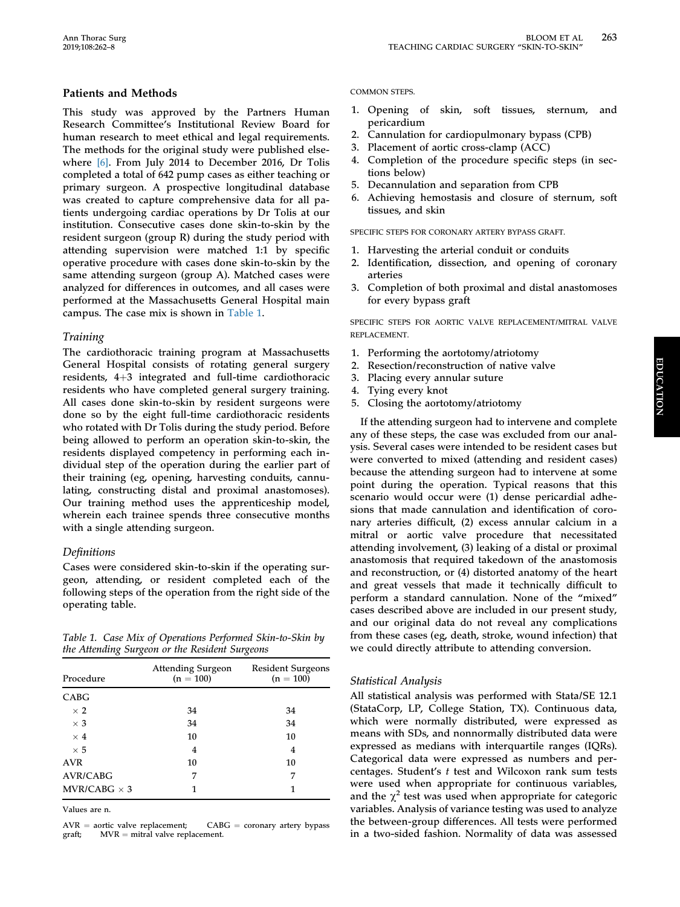## Patients and Methods

This study was approved by the Partners Human Research Committee's Institutional Review Board for human research to meet ethical and legal requirements. The methods for the original study were published elsewhere [\[6\].](#page-5-0) From July 2014 to December 2016, Dr Tolis completed a total of 642 pump cases as either teaching or primary surgeon. A prospective longitudinal database was created to capture comprehensive data for all patients undergoing cardiac operations by Dr Tolis at our institution. Consecutive cases done skin-to-skin by the resident surgeon (group R) during the study period with attending supervision were matched 1:1 by specific operative procedure with cases done skin-to-skin by the same attending surgeon (group A). Matched cases were analyzed for differences in outcomes, and all cases were performed at the Massachusetts General Hospital main campus. The case mix is shown in Table 1.

## Training

The cardiothoracic training program at Massachusetts General Hospital consists of rotating general surgery residents,  $4+3$  integrated and full-time cardiothoracic residents who have completed general surgery training. All cases done skin-to-skin by resident surgeons were done so by the eight full-time cardiothoracic residents who rotated with Dr Tolis during the study period. Before being allowed to perform an operation skin-to-skin, the residents displayed competency in performing each individual step of the operation during the earlier part of their training (eg, opening, harvesting conduits, cannulating, constructing distal and proximal anastomoses). Our training method uses the apprenticeship model, wherein each trainee spends three consecutive months with a single attending surgeon.

# Definitions

Cases were considered skin-to-skin if the operating surgeon, attending, or resident completed each of the following steps of the operation from the right side of the operating table.

Table 1. Case Mix of Operations Performed Skin-to-Skin by the Attending Surgeon or the Resident Surgeons

| Procedure           | Attending Surgeon<br>$(n = 100)$ | <b>Resident Surgeons</b><br>$(n = 100)$ |  |
|---------------------|----------------------------------|-----------------------------------------|--|
| <b>CABG</b>         |                                  |                                         |  |
| $\times$ 2          | 34                               | 34                                      |  |
| $\times$ 3          | 34                               | 34                                      |  |
| $\times$ 4          | 10                               | 10                                      |  |
| $\times$ 5          | 4                                | 4                                       |  |
| <b>AVR</b>          | 10                               | 10                                      |  |
| <b>AVR/CABG</b>     | 7                                | 7                                       |  |
| MVR/CABG $\times$ 3 | 1                                | 1                                       |  |
|                     |                                  |                                         |  |

Values are n.

 $AVR =$  aortic valve replacement; CABG = coronary artery bypass graft:  $MVR =$  mitral valve replacement.  $MVR =$  mitral valve replacement.

#### COMMON STEPS.

- 1. Opening of skin, soft tissues, sternum, and pericardium
- 2. Cannulation for cardiopulmonary bypass (CPB)
- 3. Placement of aortic cross-clamp (ACC)
- 4. Completion of the procedure specific steps (in sections below)
- 5. Decannulation and separation from CPB
- 6. Achieving hemostasis and closure of sternum, soft tissues, and skin

SPECIFIC STEPS FOR CORONARY ARTERY BYPASS GRAFT.

- 1. Harvesting the arterial conduit or conduits
- 2. Identification, dissection, and opening of coronary arteries
- 3. Completion of both proximal and distal anastomoses for every bypass graft

SPECIFIC STEPS FOR AORTIC VALVE REPLACEMENT/MITRAL VALVE REPLACEMENT.

- 1. Performing the aortotomy/atriotomy
- 2. Resection/reconstruction of native valve
- 3. Placing every annular suture
- 4. Tying every knot
- 5. Closing the aortotomy/atriotomy

If the attending surgeon had to intervene and complete any of these steps, the case was excluded from our analysis. Several cases were intended to be resident cases but were converted to mixed (attending and resident cases) because the attending surgeon had to intervene at some point during the operation. Typical reasons that this scenario would occur were (1) dense pericardial adhesions that made cannulation and identification of coronary arteries difficult, (2) excess annular calcium in a mitral or aortic valve procedure that necessitated attending involvement, (3) leaking of a distal or proximal anastomosis that required takedown of the anastomosis and reconstruction, or (4) distorted anatomy of the heart and great vessels that made it technically difficult to perform a standard cannulation. None of the "mixed" cases described above are included in our present study, and our original data do not reveal any complications from these cases (eg, death, stroke, wound infection) that we could directly attribute to attending conversion.

## Statistical Analysis

All statistical analysis was performed with Stata/SE 12.1 (StataCorp, LP, College Station, TX). Continuous data, which were normally distributed, were expressed as means with SDs, and nonnormally distributed data were expressed as medians with interquartile ranges (IQRs). Categorical data were expressed as numbers and percentages. Student's t test and Wilcoxon rank sum tests were used when appropriate for continuous variables, and the  $\chi^2$  test was used when appropriate for categoric variables. Analysis of variance testing was used to analyze the between-group differences. All tests were performed in a two-sided fashion. Normality of data was assessed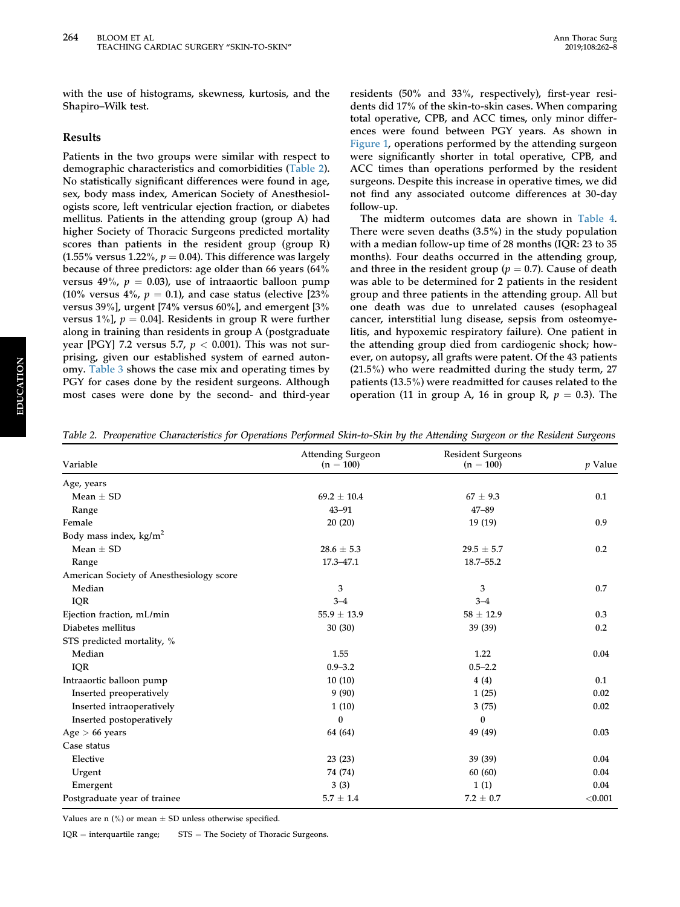with the use of histograms, skewness, kurtosis, and the Shapiro–Wilk test.

#### Results

Patients in the two groups were similar with respect to demographic characteristics and comorbidities (Table 2). No statistically significant differences were found in age, sex, body mass index, American Society of Anesthesiologists score, left ventricular ejection fraction, or diabetes mellitus. Patients in the attending group (group A) had higher Society of Thoracic Surgeons predicted mortality scores than patients in the resident group (group R)  $(1.55\%$  versus 1.22%,  $p = 0.04$ ). This difference was largely because of three predictors: age older than 66 years (64% versus 49%,  $p = 0.03$ ), use of intraaortic balloon pump (10% versus 4%,  $p = 0.1$ ), and case status (elective [23% versus 39%], urgent [74% versus 60%], and emergent [3% versus 1%],  $p = 0.04$ ]. Residents in group R were further along in training than residents in group A (postgraduate year [PGY] 7.2 versus 5.7,  $p < 0.001$ ). This was not surprising, given our established system of earned autonomy. [Table 3](#page-3-0) shows the case mix and operating times by PGY for cases done by the resident surgeons. Although most cases were done by the second- and third-year residents (50% and 33%, respectively), first-year residents did 17% of the skin-to-skin cases. When comparing total operative, CPB, and ACC times, only minor differences were found between PGY years. As shown in [Figure 1](#page-3-0), operations performed by the attending surgeon were significantly shorter in total operative, CPB, and ACC times than operations performed by the resident surgeons. Despite this increase in operative times, we did not find any associated outcome differences at 30-day follow-up.

The midterm outcomes data are shown in [Table 4.](#page-4-0) There were seven deaths (3.5%) in the study population with a median follow-up time of 28 months (IQR: 23 to 35 months). Four deaths occurred in the attending group, and three in the resident group ( $p = 0.7$ ). Cause of death was able to be determined for 2 patients in the resident group and three patients in the attending group. All but one death was due to unrelated causes (esophageal cancer, interstitial lung disease, sepsis from osteomyelitis, and hypoxemic respiratory failure). One patient in the attending group died from cardiogenic shock; however, on autopsy, all grafts were patent. Of the 43 patients (21.5%) who were readmitted during the study term, 27 patients (13.5%) were readmitted for causes related to the operation (11 in group A, 16 in group R,  $p = 0.3$ ). The

| Variable                                 | <b>Attending Surgeon</b><br>$(n = 100)$ | <b>Resident Surgeons</b><br>$(n = 100)$ | $p$ Value |
|------------------------------------------|-----------------------------------------|-----------------------------------------|-----------|
| Age, years                               |                                         |                                         |           |
| Mean $\pm$ SD                            | $69.2 \pm 10.4$                         | $67 \pm 9.3$                            | 0.1       |
| Range                                    | $43 - 91$                               | $47 - 89$                               |           |
| Female                                   | 20(20)                                  | 19(19)                                  | 0.9       |
| Body mass index, $\text{kg/m}^2$         |                                         |                                         |           |
| Mean $\pm$ SD                            | $28.6 \pm 5.3$                          | $29.5 \pm 5.7$                          | 0.2       |
| Range                                    | 17.3-47.1                               | $18.7 - 55.2$                           |           |
| American Society of Anesthesiology score |                                         |                                         |           |
| Median                                   | 3                                       | 3                                       | 0.7       |
| <b>IQR</b>                               | $3 - 4$                                 | $3 - 4$                                 |           |
| Ejection fraction, mL/min                | $55.9 \pm 13.9$                         | $58 \pm 12.9$                           | 0.3       |
| Diabetes mellitus                        | 30(30)                                  | 39 (39)                                 | 0.2       |
| STS predicted mortality, %               |                                         |                                         |           |
| Median                                   | 1.55                                    | 1.22                                    | 0.04      |
| IQR                                      | $0.9 - 3.2$                             | $0.5 - 2.2$                             |           |
| Intraaortic balloon pump                 | 10(10)                                  | 4(4)                                    | 0.1       |
| Inserted preoperatively                  | 9(90)                                   | 1(25)                                   | 0.02      |
| Inserted intraoperatively                | 1(10)                                   | 3(75)                                   | 0.02      |
| Inserted postoperatively                 | 0                                       | $\bf{0}$                                |           |
| Age > 66 years                           | 64 (64)                                 | 49 (49)                                 | 0.03      |
| Case status                              |                                         |                                         |           |
| Elective                                 | 23(23)                                  | 39(39)                                  | 0.04      |
| Urgent                                   | 74 (74)                                 | 60(60)                                  | 0.04      |
| Emergent                                 | 3(3)                                    | 1(1)                                    | 0.04      |
| Postgraduate year of trainee             | $5.7 \pm 1.4$                           | $7.2 \pm 0.7$                           | < 0.001   |

Table 2. Preoperative Characteristics for Operations Performed Skin-to-Skin by the Attending Surgeon or the Resident Surgeons

Values are n  $\left(\% \right)$  or mean  $\pm$  SD unless otherwise specified.

 $IQR =$  interquartile range;  $STS =$  The Society of Thoracic Surgeons.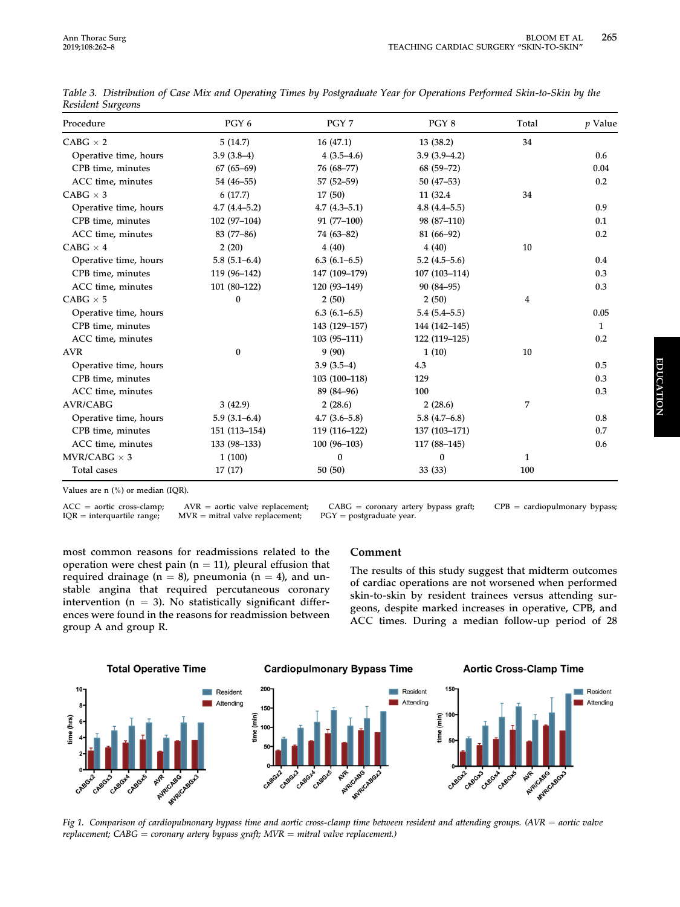| Procedure             | PGY 6            | PGY 7            | PGY 8            | Total | <i>p</i> Value |
|-----------------------|------------------|------------------|------------------|-------|----------------|
| $CABG \times 2$       | 5(14.7)          | 16(47.1)         | 13 (38.2)        | 34    |                |
| Operative time, hours | $3.9(3.8-4)$     | $4(3.5-4.6)$     | $3.9(3.9-4.2)$   |       | 0.6            |
| CPB time, minutes     | $67(65-69)$      | 76 (68-77)       | $68(59 - 72)$    |       | 0.04           |
| ACC time, minutes     | 54 (46-55)       | $57(52 - 59)$    | $50(47-53)$      |       | 0.2            |
| CABG $\times$ 3       | 6(17.7)          | 17(50)           | 11 (32.4)        | 34    |                |
| Operative time, hours | $4.7(4.4 - 5.2)$ | $4.7(4.3 - 5.1)$ | $4.8(4.4 - 5.5)$ |       | 0.9            |
| CPB time, minutes     | $102(97-104)$    | $91(77-100)$     | 98 (87-110)      |       | 0.1            |
| ACC time, minutes     | 83 (77-86)       | 74 (63-82)       | 81 (66-92)       |       | 0.2            |
| $CABG \times 4$       | 2(20)            | 4(40)            | 4(40)            | 10    |                |
| Operative time, hours | $5.8(5.1 - 6.4)$ | $6.3(6.1-6.5)$   | $5.2(4.5-5.6)$   |       | 0.4            |
| CPB time, minutes     | 119 (96-142)     | 147 (109-179)    | 107 (103-114)    |       | 0.3            |
| ACC time, minutes     | $101(80-122)$    | 120 (93-149)     | 90 (84-95)       |       | 0.3            |
| $CABG \times 5$       | 0                | 2(50)            | 2(50)            | 4     |                |
| Operative time, hours |                  | $6.3(6.1-6.5)$   | $5.4(5.4 - 5.5)$ |       | 0.05           |
| CPB time, minutes     |                  | 143 (129-157)    | 144 (142–145)    |       | 1              |
| ACC time, minutes     |                  | $103(95 - 111)$  | 122 (119-125)    |       | 0.2            |
| <b>AVR</b>            | $\bf{0}$         | 9(90)            | 1(10)            | 10    |                |
| Operative time, hours |                  | $3.9(3.5-4)$     | 4.3              |       | 0.5            |
| CPB time, minutes     |                  | 103 (100-118)    | 129              |       | 0.3            |
| ACC time, minutes     |                  | 89 (84-96)       | 100              |       | 0.3            |
| <b>AVR/CABG</b>       | 3(42.9)          | 2(28.6)          | 2(28.6)          | 7     |                |
| Operative time, hours | $5.9(3.1-6.4)$   | $4.7(3.6 - 5.8)$ | $5.8(4.7-6.8)$   |       | 0.8            |
| CPB time, minutes     | 151 (113-154)    | 119 (116-122)    | 137 (103-171)    |       | 0.7            |
| ACC time, minutes     | 133 (98-133)     | $100(96-103)$    | 117 (88-145)     |       | 0.6            |
| $MVR/CABG \times 3$   | 1(100)           | $\bf{0}$         | $\bf{0}$         | 1     |                |
| Total cases           | 17(17)           | 50(50)           | 33(33)           | 100   |                |

<span id="page-3-0"></span>Table 3. Distribution of Case Mix and Operating Times by Postgraduate Year for Operations Performed Skin-to-Skin by the Resident Surgeons

Values are n (%) or median (IQR).

 $MVR =$  mitral valve replacement;

 $ACC =$  aortic cross-clamp;  $AVR =$  aortic valve replacement;  $CABG =$  coronary artery bypass graft;  $CPB =$  cardiopulmonary bypass;  $IQR =$  interquartile range;  $MVR =$  mitral valve replacement;  $PGY =$  postgraduate year.

most common reasons for readmissions related to the operation were chest pain ( $n = 11$ ), pleural effusion that required drainage ( $n = 8$ ), pneumonia ( $n = 4$ ), and unstable angina that required percutaneous coronary intervention ( $n = 3$ ). No statistically significant differences were found in the reasons for readmission between group A and group R.

## Comment

The results of this study suggest that midterm outcomes of cardiac operations are not worsened when performed skin-to-skin by resident trainees versus attending surgeons, despite marked increases in operative, CPB, and ACC times. During a median follow-up period of 28



Fig 1. Comparison of cardiopulmonary bypass time and aortic cross-clamp time between resident and attending groups. (AVR = aortic valve replacement;  $CABG =$  coronary artery bypass graft;  $MVR =$  mitral valve replacement.)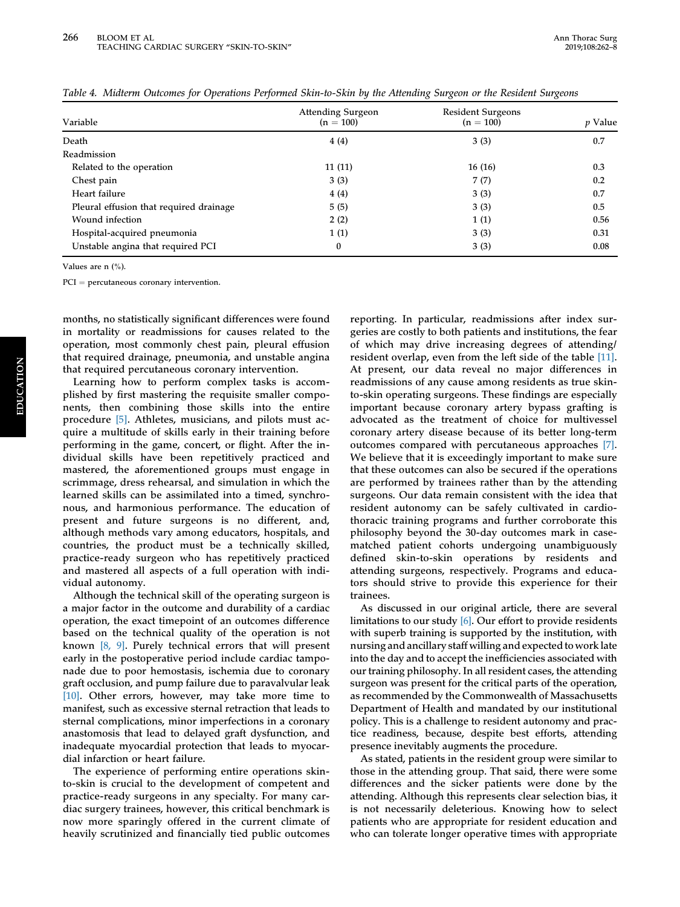| Variable                                | <b>Attending Surgeon</b><br>$(n = 100)$ | <b>Resident Surgeons</b><br>$(n = 100)$ | <i>p</i> Value |
|-----------------------------------------|-----------------------------------------|-----------------------------------------|----------------|
| Death                                   | 4(4)                                    | 3(3)                                    | 0.7            |
| Readmission                             |                                         |                                         |                |
| Related to the operation                | 11(11)                                  | 16(16)                                  | 0.3            |
| Chest pain                              | 3(3)                                    | 7(7)                                    | 0.2            |
| Heart failure                           | 4(4)                                    | 3(3)                                    | 0.7            |
| Pleural effusion that required drainage | 5(5)                                    | 3(3)                                    | 0.5            |
| Wound infection                         | 2(2)                                    | 1(1)                                    | 0.56           |
| Hospital-acquired pneumonia             | 1(1)                                    | 3(3)                                    | 0.31           |
| Unstable angina that required PCI       | 0                                       | 3(3)                                    | 0.08           |

<span id="page-4-0"></span>Table 4. Midterm Outcomes for Operations Performed Skin-to-Skin by the Attending Surgeon or the Resident Surgeons

Values are n (%).

 $\mathrm{PCI} = \mathrm{percutaneous}$  coronary intervention.

months, no statistically significant differences were found in mortality or readmissions for causes related to the operation, most commonly chest pain, pleural effusion that required drainage, pneumonia, and unstable angina that required percutaneous coronary intervention.

Learning how to perform complex tasks is accomplished by first mastering the requisite smaller components, then combining those skills into the entire procedure [\[5\]](#page-5-0). Athletes, musicians, and pilots must acquire a multitude of skills early in their training before performing in the game, concert, or flight. After the individual skills have been repetitively practiced and mastered, the aforementioned groups must engage in scrimmage, dress rehearsal, and simulation in which the learned skills can be assimilated into a timed, synchronous, and harmonious performance. The education of present and future surgeons is no different, and, although methods vary among educators, hospitals, and countries, the product must be a technically skilled, practice-ready surgeon who has repetitively practiced and mastered all aspects of a full operation with individual autonomy.

Although the technical skill of the operating surgeon is a major factor in the outcome and durability of a cardiac operation, the exact timepoint of an outcomes difference based on the technical quality of the operation is not known [\[8, 9\]](#page-5-0). Purely technical errors that will present early in the postoperative period include cardiac tamponade due to poor hemostasis, ischemia due to coronary graft occlusion, and pump failure due to paravalvular leak [\[10\].](#page-5-0) Other errors, however, may take more time to manifest, such as excessive sternal retraction that leads to sternal complications, minor imperfections in a coronary anastomosis that lead to delayed graft dysfunction, and inadequate myocardial protection that leads to myocardial infarction or heart failure.

The experience of performing entire operations skinto-skin is crucial to the development of competent and practice-ready surgeons in any specialty. For many cardiac surgery trainees, however, this critical benchmark is now more sparingly offered in the current climate of heavily scrutinized and financially tied public outcomes reporting. In particular, readmissions after index surgeries are costly to both patients and institutions, the fear of which may drive increasing degrees of attending/ resident overlap, even from the left side of the table [\[11\].](#page-5-0) At present, our data reveal no major differences in readmissions of any cause among residents as true skinto-skin operating surgeons. These findings are especially important because coronary artery bypass grafting is advocated as the treatment of choice for multivessel coronary artery disease because of its better long-term outcomes compared with percutaneous approaches [\[7\].](#page-5-0) We believe that it is exceedingly important to make sure that these outcomes can also be secured if the operations are performed by trainees rather than by the attending surgeons. Our data remain consistent with the idea that resident autonomy can be safely cultivated in cardiothoracic training programs and further corroborate this philosophy beyond the 30-day outcomes mark in casematched patient cohorts undergoing unambiguously defined skin-to-skin operations by residents and attending surgeons, respectively. Programs and educators should strive to provide this experience for their trainees.

As discussed in our original article, there are several limitations to our study [\[6\].](#page-5-0) Our effort to provide residents with superb training is supported by the institution, with nursing and ancillary staff willing and expected to work late into the day and to accept the inefficiencies associated with our training philosophy. In all resident cases, the attending surgeon was present for the critical parts of the operation, as recommended by the Commonwealth of Massachusetts Department of Health and mandated by our institutional policy. This is a challenge to resident autonomy and practice readiness, because, despite best efforts, attending presence inevitably augments the procedure.

As stated, patients in the resident group were similar to those in the attending group. That said, there were some differences and the sicker patients were done by the attending. Although this represents clear selection bias, it is not necessarily deleterious. Knowing how to select patients who are appropriate for resident education and who can tolerate longer operative times with appropriate